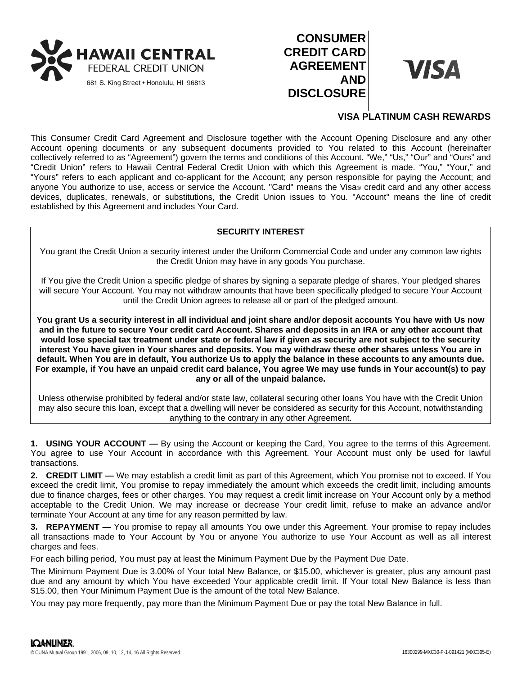

# **CONSUMER CREDIT CARD AGREEMENT AND DISCLOSURE**



## **VISA PLATINUM CASH REWARDS**

This Consumer Credit Card Agreement and Disclosure together with the Account Opening Disclosure and any other Account opening documents or any subsequent documents provided to You related to this Account (hereinafter collectively referred to as "Agreement") govern the terms and conditions of this Account. "We," "Us," "Our" and "Ours" and "Credit Union" refers to Hawaii Central Federal Credit Union with which this Agreement is made. "You," "Your," and "Yours" refers to each applicant and co-applicant for the Account; any person responsible for paying the Account; and anyone You authorize to use, access or service the Account. "Card" means the Visa® credit card and any other access devices, duplicates, renewals, or substitutions, the Credit Union issues to You. "Account" means the line of credit established by this Agreement and includes Your Card.

## **SECURITY INTEREST**

You grant the Credit Union a security interest under the Uniform Commercial Code and under any common law rights the Credit Union may have in any goods You purchase.

If You give the Credit Union a specific pledge of shares by signing a separate pledge of shares, Your pledged shares will secure Your Account. You may not withdraw amounts that have been specifically pledged to secure Your Account until the Credit Union agrees to release all or part of the pledged amount.

**You grant Us a security interest in all individual and joint share and/or deposit accounts You have with Us now and in the future to secure Your credit card Account. Shares and deposits in an IRA or any other account that would lose special tax treatment under state or federal law if given as security are not subject to the security interest You have given in Your shares and deposits. You may withdraw these other shares unless You are in default. When You are in default, You authorize Us to apply the balance in these accounts to any amounts due. For example, if You have an unpaid credit card balance, You agree We may use funds in Your account(s) to pay any or all of the unpaid balance.**

Unless otherwise prohibited by federal and/or state law, collateral securing other loans You have with the Credit Union may also secure this loan, except that a dwelling will never be considered as security for this Account, notwithstanding anything to the contrary in any other Agreement.

**1. USING YOUR ACCOUNT —** By using the Account or keeping the Card, You agree to the terms of this Agreement. You agree to use Your Account in accordance with this Agreement. Your Account must only be used for lawful transactions.

**2. CREDIT LIMIT —** We may establish a credit limit as part of this Agreement, which You promise not to exceed. If You exceed the credit limit, You promise to repay immediately the amount which exceeds the credit limit, including amounts due to finance charges, fees or other charges. You may request a credit limit increase on Your Account only by a method acceptable to the Credit Union. We may increase or decrease Your credit limit, refuse to make an advance and/or terminate Your Account at any time for any reason permitted by law.

**3. REPAYMENT —** You promise to repay all amounts You owe under this Agreement. Your promise to repay includes all transactions made to Your Account by You or anyone You authorize to use Your Account as well as all interest charges and fees.

For each billing period, You must pay at least the Minimum Payment Due by the Payment Due Date.

The Minimum Payment Due is 3.00% of Your total New Balance, or \$15.00, whichever is greater, plus any amount past due and any amount by which You have exceeded Your applicable credit limit. If Your total New Balance is less than \$15.00, then Your Minimum Payment Due is the amount of the total New Balance.

You may pay more frequently, pay more than the Minimum Payment Due or pay the total New Balance in full.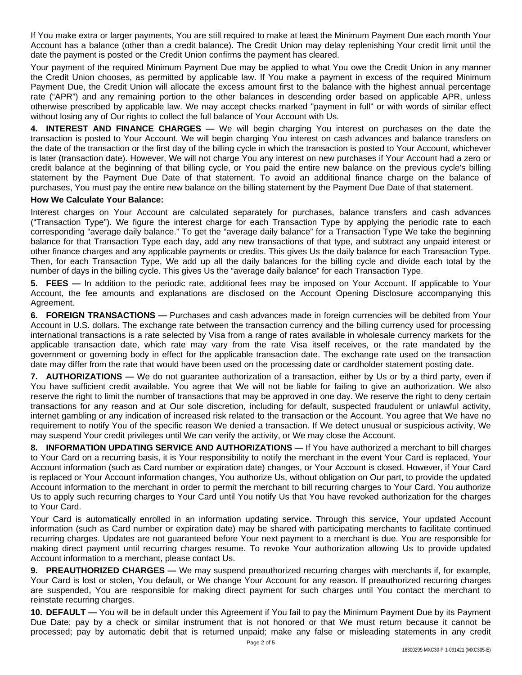If You make extra or larger payments, You are still required to make at least the Minimum Payment Due each month Your Account has a balance (other than a credit balance). The Credit Union may delay replenishing Your credit limit until the date the payment is posted or the Credit Union confirms the payment has cleared.

Your payment of the required Minimum Payment Due may be applied to what You owe the Credit Union in any manner the Credit Union chooses, as permitted by applicable law. If You make a payment in excess of the required Minimum Payment Due, the Credit Union will allocate the excess amount first to the balance with the highest annual percentage rate ("APR") and any remaining portion to the other balances in descending order based on applicable APR, unless otherwise prescribed by applicable law. We may accept checks marked "payment in full" or with words of similar effect without losing any of Our rights to collect the full balance of Your Account with Us.

**4. INTEREST AND FINANCE CHARGES —** We will begin charging You interest on purchases on the date the transaction is posted to Your Account. We will begin charging You interest on cash advances and balance transfers on the date of the transaction or the first day of the billing cycle in which the transaction is posted to Your Account, whichever is later (transaction date). However, We will not charge You any interest on new purchases if Your Account had a zero or credit balance at the beginning of that billing cycle, or You paid the entire new balance on the previous cycle's billing statement by the Payment Due Date of that statement. To avoid an additional finance charge on the balance of purchases, You must pay the entire new balance on the billing statement by the Payment Due Date of that statement.

## **How We Calculate Your Balance:**

Interest charges on Your Account are calculated separately for purchases, balance transfers and cash advances ("Transaction Type"). We figure the interest charge for each Transaction Type by applying the periodic rate to each corresponding "average daily balance." To get the "average daily balance" for a Transaction Type We take the beginning balance for that Transaction Type each day, add any new transactions of that type, and subtract any unpaid interest or other finance charges and any applicable payments or credits. This gives Us the daily balance for each Transaction Type. Then, for each Transaction Type, We add up all the daily balances for the billing cycle and divide each total by the number of days in the billing cycle. This gives Us the "average daily balance" for each Transaction Type.

**5. FEES —** In addition to the periodic rate, additional fees may be imposed on Your Account. If applicable to Your Account, the fee amounts and explanations are disclosed on the Account Opening Disclosure accompanying this Agreement.

**6. FOREIGN TRANSACTIONS —** Purchases and cash advances made in foreign currencies will be debited from Your Account in U.S. dollars. The exchange rate between the transaction currency and the billing currency used for processing international transactions is a rate selected by Visa from a range of rates available in wholesale currency markets for the applicable transaction date, which rate may vary from the rate Visa itself receives, or the rate mandated by the government or governing body in effect for the applicable transaction date. The exchange rate used on the transaction date may differ from the rate that would have been used on the processing date or cardholder statement posting date.

**7. AUTHORIZATIONS —** We do not guarantee authorization of a transaction, either by Us or by a third party, even if You have sufficient credit available. You agree that We will not be liable for failing to give an authorization. We also reserve the right to limit the number of transactions that may be approved in one day. We reserve the right to deny certain transactions for any reason and at Our sole discretion, including for default, suspected fraudulent or unlawful activity, internet gambling or any indication of increased risk related to the transaction or the Account. You agree that We have no requirement to notify You of the specific reason We denied a transaction. If We detect unusual or suspicious activity, We may suspend Your credit privileges until We can verify the activity, or We may close the Account.

**8. INFORMATION UPDATING SERVICE AND AUTHORIZATIONS —** If You have authorized a merchant to bill charges to Your Card on a recurring basis, it is Your responsibility to notify the merchant in the event Your Card is replaced, Your Account information (such as Card number or expiration date) changes, or Your Account is closed. However, if Your Card is replaced or Your Account information changes, You authorize Us, without obligation on Our part, to provide the updated Account information to the merchant in order to permit the merchant to bill recurring charges to Your Card. You authorize Us to apply such recurring charges to Your Card until You notify Us that You have revoked authorization for the charges to Your Card.

Your Card is automatically enrolled in an information updating service. Through this service, Your updated Account information (such as Card number or expiration date) may be shared with participating merchants to facilitate continued recurring charges. Updates are not guaranteed before Your next payment to a merchant is due. You are responsible for making direct payment until recurring charges resume. To revoke Your authorization allowing Us to provide updated Account information to a merchant, please contact Us.

**9. PREAUTHORIZED CHARGES —** We may suspend preauthorized recurring charges with merchants if, for example, Your Card is lost or stolen, You default, or We change Your Account for any reason. If preauthorized recurring charges are suspended, You are responsible for making direct payment for such charges until You contact the merchant to reinstate recurring charges.

**10. DEFAULT —** You will be in default under this Agreement if You fail to pay the Minimum Payment Due by its Payment Due Date; pay by a check or similar instrument that is not honored or that We must return because it cannot be processed; pay by automatic debit that is returned unpaid; make any false or misleading statements in any credit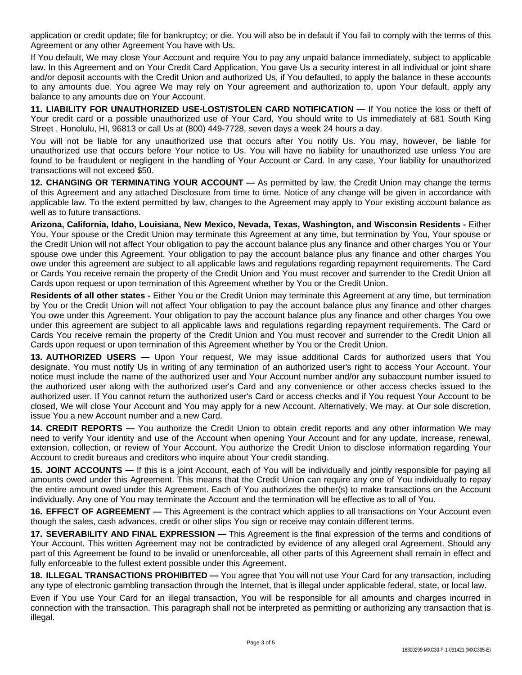application or credit update; file for bankruptcy; or die. You will also be in default if You fail to comply with the terms of this Agreement or any other Agreement You have with Us.

If You default, We may close Your Account and require You to pay any unpaid balance immediately, subject to applicable law. In this Agreement and on Your Credit Card Application, You gave Us a security interest in all individual or joint share and/or deposit accounts with the Credit Union and authorized Us, if You defaulted, to apply the balance in these accounts to any amounts due. You agree We may rely on Your agreement and authorization to, upon Your default, apply any balance to any amounts due on Your Account.

**11. LIABILITY FOR UNAUTHORIZED USE-LOST/STOLEN CARD NOTIFICATION —** If You notice the loss or theft of Your credit card or a possible unauthorized use of Your Card, You should write to Us immediately at 681 South King Street , Honolulu, HI, 96813 or call Us at (800) 449-7728, seven days a week 24 hours a day.

You will not be liable for any unauthorized use that occurs after You notify Us. You may, however, be liable for unauthorized use that occurs before Your notice to Us. You will have no liability for unauthorized use unless You are found to be fraudulent or negligent in the handling of Your Account or Card. In any case, Your liability for unauthorized transactions will not exceed \$50.

**12. CHANGING OR TERMINATING YOUR ACCOUNT —** As permitted by law, the Credit Union may change the terms of this Agreement and any attached Disclosure from time to time. Notice of any change will be given in accordance with applicable law. To the extent permitted by law, changes to the Agreement may apply to Your existing account balance as well as to future transactions.

**Arizona, California, Idaho, Louisiana, New Mexico, Nevada, Texas, Washington, and Wisconsin Residents -** Either You, Your spouse or the Credit Union may terminate this Agreement at any time, but termination by You, Your spouse or the Credit Union will not affect Your obligation to pay the account balance plus any finance and other charges You or Your spouse owe under this Agreement. Your obligation to pay the account balance plus any finance and other charges You owe under this agreement are subject to all applicable laws and regulations regarding repayment requirements. The Card or Cards You receive remain the property of the Credit Union and You must recover and surrender to the Credit Union all Cards upon request or upon termination of this Agreement whether by You or the Credit Union.

**Residents of all other states -** Either You or the Credit Union may terminate this Agreement at any time, but termination by You or the Credit Union will not affect Your obligation to pay the account balance plus any finance and other charges You owe under this Agreement. Your obligation to pay the account balance plus any finance and other charges You owe under this agreement are subject to all applicable laws and regulations regarding repayment requirements. The Card or Cards You receive remain the property of the Credit Union and You must recover and surrender to the Credit Union all Cards upon request or upon termination of this Agreement whether by You or the Credit Union.

**13. AUTHORIZED USERS —** Upon Your request, We may issue additional Cards for authorized users that You designate. You must notify Us in writing of any termination of an authorized user's right to access Your Account. Your notice must include the name of the authorized user and Your Account number and/or any subaccount number issued to the authorized user along with the authorized user's Card and any convenience or other access checks issued to the authorized user. If You cannot return the authorized user's Card or access checks and if You request Your Account to be closed, We will close Your Account and You may apply for a new Account. Alternatively, We may, at Our sole discretion, issue You a new Account number and a new Card.

**14. CREDIT REPORTS —** You authorize the Credit Union to obtain credit reports and any other information We may need to verify Your identity and use of the Account when opening Your Account and for any update, increase, renewal, extension, collection, or review of Your Account. You authorize the Credit Union to disclose information regarding Your Account to credit bureaus and creditors who inquire about Your credit standing.

**15. JOINT ACCOUNTS —** If this is a joint Account, each of You will be individually and jointly responsible for paying all amounts owed under this Agreement. This means that the Credit Union can require any one of You individually to repay the entire amount owed under this Agreement. Each of You authorizes the other(s) to make transactions on the Account individually. Any one of You may terminate the Account and the termination will be effective as to all of You.

**16. EFFECT OF AGREEMENT —** This Agreement is the contract which applies to all transactions on Your Account even though the sales, cash advances, credit or other slips You sign or receive may contain different terms.

**17. SEVERABILITY AND FINAL EXPRESSION —** This Agreement is the final expression of the terms and conditions of Your Account. This written Agreement may not be contradicted by evidence of any alleged oral Agreement. Should any part of this Agreement be found to be invalid or unenforceable, all other parts of this Agreement shall remain in effect and fully enforceable to the fullest extent possible under this Agreement.

**18. ILLEGAL TRANSACTIONS PROHIBITED —** You agree that You will not use Your Card for any transaction, including any type of electronic gambling transaction through the Internet, that is illegal under applicable federal, state, or local law.

Even if You use Your Card for an illegal transaction, You will be responsible for all amounts and charges incurred in connection with the transaction. This paragraph shall not be interpreted as permitting or authorizing any transaction that is illegal.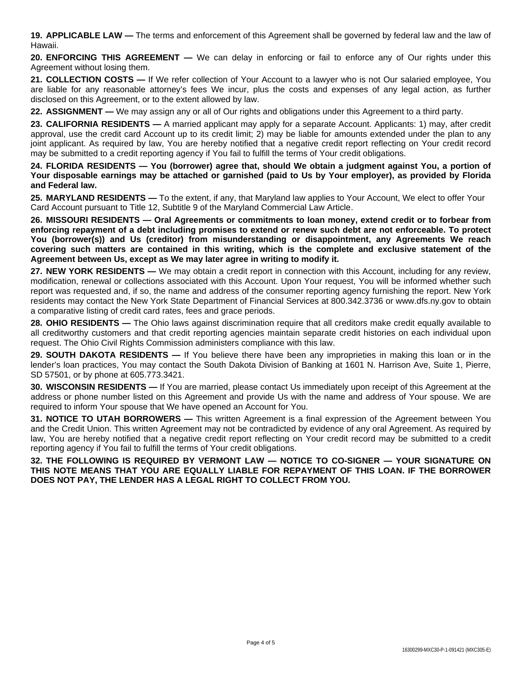**19. APPLICABLE LAW —** The terms and enforcement of this Agreement shall be governed by federal law and the law of Hawaii.

**20. ENFORCING THIS AGREEMENT —** We can delay in enforcing or fail to enforce any of Our rights under this Agreement without losing them.

**21. COLLECTION COSTS —** If We refer collection of Your Account to a lawyer who is not Our salaried employee, You are liable for any reasonable attorney's fees We incur, plus the costs and expenses of any legal action, as further disclosed on this Agreement, or to the extent allowed by law.

**22. ASSIGNMENT —** We may assign any or all of Our rights and obligations under this Agreement to a third party.

**23. CALIFORNIA RESIDENTS —** A married applicant may apply for a separate Account. Applicants: 1) may, after credit approval, use the credit card Account up to its credit limit; 2) may be liable for amounts extended under the plan to any joint applicant. As required by law, You are hereby notified that a negative credit report reflecting on Your credit record may be submitted to a credit reporting agency if You fail to fulfill the terms of Your credit obligations.

24. FLORIDA RESIDENTS — You (borrower) agree that, should We obtain a judgment against You, a portion of Your disposable earnings may be attached or garnished (paid to Us by Your employer), as provided by Florida **and Federal law.**

**25. MARYLAND RESIDENTS —** To the extent, if any, that Maryland law applies to Your Account, We elect to offer Your Card Account pursuant to Title 12, Subtitle 9 of the Maryland Commercial Law Article.

**26. MISSOURI RESIDENTS — Oral Agreements or commitments to loan money, extend credit or to forbear from** enforcing repayment of a debt including promises to extend or renew such debt are not enforceable. To protect **You (borrower(s)) and Us (creditor) from misunderstanding or disappointment, any Agreements We reach covering such matters are contained in this writing, which is the complete and exclusive statement of the Agreement between Us, except as We may later agree in writing to modify it.**

**27. NEW YORK RESIDENTS —** We may obtain a credit report in connection with this Account, including for any review, modification, renewal or collections associated with this Account. Upon Your request, You will be informed whether such report was requested and, if so, the name and address of the consumer reporting agency furnishing the report. New York residents may contact the New York State Department of Financial Services at 800.342.3736 or www.dfs.ny.gov to obtain a comparative listing of credit card rates, fees and grace periods.

**28. OHIO RESIDENTS —** The Ohio laws against discrimination require that all creditors make credit equally available to all creditworthy customers and that credit reporting agencies maintain separate credit histories on each individual upon request. The Ohio Civil Rights Commission administers compliance with this law.

**29. SOUTH DAKOTA RESIDENTS —** If You believe there have been any improprieties in making this loan or in the lender's loan practices, You may contact the South Dakota Division of Banking at 1601 N. Harrison Ave, Suite 1, Pierre, SD 57501, or by phone at 605.773.3421.

**30. WISCONSIN RESIDENTS —** If You are married, please contact Us immediately upon receipt of this Agreement at the address or phone number listed on this Agreement and provide Us with the name and address of Your spouse. We are required to inform Your spouse that We have opened an Account for You.

**31. NOTICE TO UTAH BORROWERS —** This written Agreement is a final expression of the Agreement between You and the Credit Union. This written Agreement may not be contradicted by evidence of any oral Agreement. As required by law, You are hereby notified that a negative credit report reflecting on Your credit record may be submitted to a credit reporting agency if You fail to fulfill the terms of Your credit obligations.

**32. THE FOLLOWING IS REQUIRED BY VERMONT LAW — NOTICE TO CO-SIGNER — YOUR SIGNATURE ON THIS NOTE MEANS THAT YOU ARE EQUALLY LIABLE FOR REPAYMENT OF THIS LOAN. IF THE BORROWER DOES NOT PAY, THE LENDER HAS A LEGAL RIGHT TO COLLECT FROM YOU.**